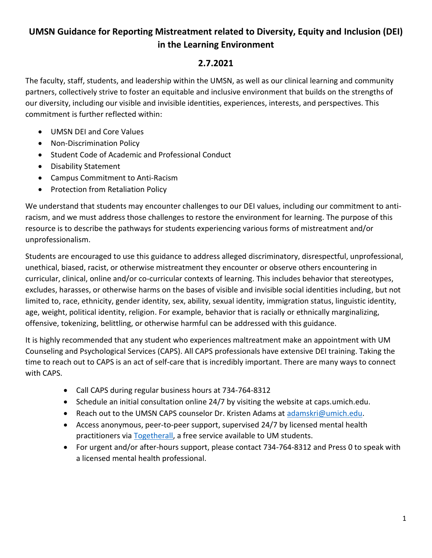## **UMSN Guidance for Reporting Mistreatment related to Diversity, Equity and Inclusion (DEI) in the Learning Environment**

## **2.7.2021**

The faculty, staff, students, and leadership within the UMSN, as well as our clinical learning and community partners, collectively strive to foster an equitable and inclusive environment that builds on the strengths of our diversity, including our visible and invisible identities, experiences, interests, and perspectives. This commitment is further reflected within:

- UMSN DEI and Core Values
- Non-Discrimination Policy
- Student Code of Academic and Professional Conduct
- Disability Statement
- Campus Commitment to Anti-Racism
- Protection from Retaliation Policy

We understand that students may encounter challenges to our DEI values, including our commitment to antiracism, and we must address those challenges to restore the environment for learning. The purpose of this resource is to describe the pathways for students experiencing various forms of mistreatment and/or unprofessionalism.

Students are encouraged to use this guidance to address alleged discriminatory, disrespectful, unprofessional, unethical, biased, racist, or otherwise mistreatment they encounter or observe others encountering in curricular, clinical, online and/or co-curricular contexts of learning. This includes behavior that stereotypes, excludes, harasses, or otherwise harms on the bases of visible and invisible social identities including, but not limited to, race, ethnicity, gender identity, sex, ability, sexual identity, immigration status, linguistic identity, age, weight, political identity, religion. For example, behavior that is racially or ethnically marginalizing, offensive, tokenizing, belittling, or otherwise harmful can be addressed with this guidance.

It is highly recommended that any student who experiences maltreatment make an appointment with UM Counseling and Psychological Services (CAPS). All CAPS professionals have extensive DEI training. Taking the time to reach out to CAPS is an act of self-care that is incredibly important. There are many ways to connect with CAPS.

- Call CAPS during regular business hours at 734-764-8312
- Schedule an initial consultation online 24/7 by visiting the website at caps.umich.edu.
- Reach out to the UMSN CAPS counselor Dr. Kristen Adams at [adamskri@umich.edu.](mailto:adamskri@umich.edu)
- Access anonymous, peer-to-peer support, supervised 24/7 by licensed mental health practitioners vi[a Togetherall,](https://account.v2.togetherall.com/register/student) a free service available to UM students.
- For urgent and/or after-hours support, please contact 734-764-8312 and Press 0 to speak with a licensed mental health professional.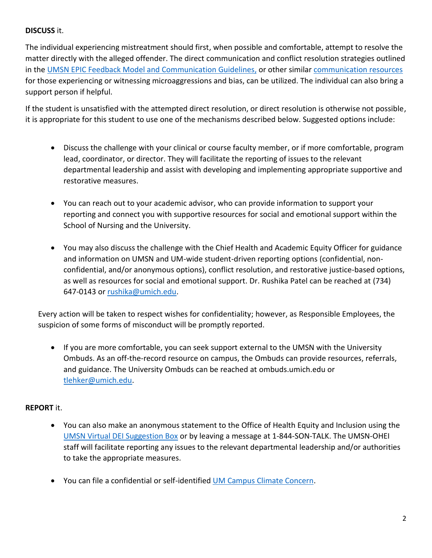## **DISCUSS** it.

The individual experiencing mistreatment should first, when possible and comfortable, attempt to resolve the matter directly with the alleged offender. The direct communication and conflict resolution strategies outlined in the [UMSN EPIC Feedback Model and Communication Guidelines,](https://drive.google.com/file/d/1fFnbVOsfCxwZFU_0y2CKzpP4d5SM0zlY/view?usp=sharing) or other similar [communication resources](https://www.aacap.org/App_Themes/AACAP/docs/resources_for_primary_care/cap_resources_for_medical_student_educators/responding-to-microaggressions-and-bias.pdf) for those experiencing or witnessing microaggressions and bias, can be utilized. The individual can also bring a support person if helpful.

If the student is unsatisfied with the attempted direct resolution, or direct resolution is otherwise not possible, it is appropriate for this student to use one of the mechanisms described below. Suggested options include:

- Discuss the challenge with your clinical or course faculty member, or if more comfortable, program lead, coordinator, or director. They will facilitate the reporting of issues to the relevant departmental leadership and assist with developing and implementing appropriate supportive and restorative measures.
- You can reach out to your academic advisor, who can provide information to support your reporting and connect you with supportive resources for social and emotional support within the School of Nursing and the University.
- You may also discuss the challenge with the Chief Health and Academic Equity Officer for guidance and information on UMSN and UM-wide student-driven reporting options (confidential, nonconfidential, and/or anonymous options), conflict resolution, and restorative justice-based options, as well as resources for social and emotional support. Dr. Rushika Patel can be reached at (734) 647-0143 or [rushika@umich.edu.](mailto:rushika@umich.edu)

Every action will be taken to respect wishes for confidentiality; however, as Responsible Employees, the suspicion of some forms of misconduct will be promptly reported.

• If you are more comfortable, you can seek support external to the UMSN with the University Ombuds. As an off-the-record resource on campus, the Ombuds can provide resources, referrals, and guidance. The University Ombuds can be reached at ombuds.umich.edu or [tlehker@umich.edu.](mailto:tlehker@umich.edu)

## **REPORT** it.

- You can also make an anonymous statement to the Office of Health Equity and Inclusion using the [UMSN Virtual DEI Suggestion Box](https://umich.qualtrics.com/jfe/form/SV_1SQymHLTB5zoIf3) or by leaving a message at 1-844-SON-TALK. The UMSN-OHEI staff will facilitate reporting any issues to the relevant departmental leadership and/or authorities to take the appropriate measures.
- You can file a confidential or self-identified [UM Campus Climate Concern.](https://deanofstudents.umich.edu/campus-climate-support)